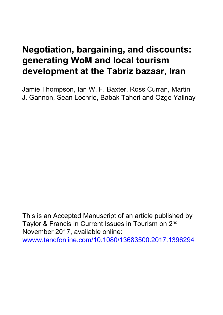# **Negotiation, bargaining, and discounts: generating WoM and local tourism development at the Tabriz bazaar, Iran**

Jamie Thompson, Ian W. F. Baxter, Ross Curran, Martin J. Gannon, Sean Lochrie, Babak Taheri and Ozge Yalinay

This is an Accepted Manuscript of an article published by Taylor & Francis in Current Issues in Tourism on 2nd November 2017, available online: <wwww.tandfonline.com/10.1080/13683500.2017.1396294>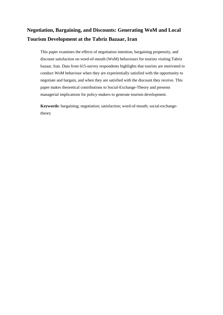# **Negotiation, Bargaining, and Discounts: Generating WoM and Local Tourism Development at the Tabriz Bazaar, Iran**

This paper examines the effects of negotiation intention, bargaining propensity, and discount satisfaction on word-of-mouth (WoM) behaviours for tourists visiting Tabriz bazaar, Iran. Data from 615-survey respondents highlights that tourists are motivated to conduct WoM behaviour when they are experientially satisfied with the opportunity to negotiate and bargain, and when they are satisfied with the discount they receive. This paper makes theoretical contributions to Social-Exchange-Theory and presents managerial implications for policy-makers to generate tourism development.

**Keywords:** bargaining; negotiation; satisfaction; word-of-mouth; social-exchangetheory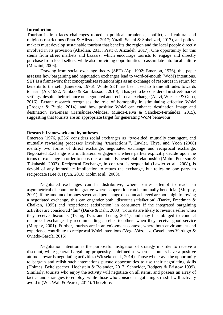# **Introduction**

Tourism in Iran faces challenges rooted in political turbulence, conflict, and cultural and religious restrictions (Pratt & Alizadeh, 2017; Yazdi, Salehi & Soheilzad, 2017), and policymakers must develop sustainable tourism that benefits the region and the local people directly involved in its provision (Ahadian, 2013; Pratt & Alizadeh, 2017). One opportunity for this stems from street markets and bazaars, which encourage tourists to engage and directly purchase from local sellers, while also providing opportunities to assimilate into local culture (Muzaini, 2006).

Drawing from social exchange theory (SET) (Ap, 1992; Emerson, 1976), this paper assesses how bargaining and negotiation exchanges lead to word-of-mouth (WoM) intentions. SET is a framework that conceptualises relationships as an exchange of resources in return for benefits to the self (Emerson, 1976). While SET has been used to frame attitudes towards tourism (Ap, 1992; Nunkoo & Ramikissoon, 2010), it has yet to be considered in street-market settings, despite their reliance on negotiated and reciprocal exchange (Alavi, Wieseke & Guba, 2016). Extant research recognises the role of homophily in stimulating effective WoM (Groeger & Buttle, 2014), and how positive WoM can enhance destination image and destination awareness (Hernández-Méndez, Muñoz-Leiva & Sánchez-Fernández, 2015), suggesting that tourists are an appropriate target for generating WoM behaviour.

# **Research framework and hypotheses**

Emerson (1976, p.336) considers social exchanges as "two-sided, mutually contingent, and mutually rewarding processes involving 'transactions'". Lawler, Thye, and Yoon (2008) identify two forms of direct exchange: negotiated exchange and reciprocal exchange. Negotiated Exchange is a multilateral engagement where parties explicitly decide upon the terms of exchange in order to construct a mutually beneficial relationship (Molm, Peterson & Takahashi, 2003). Reciprocal Exchange, in contrast, is sequential (Lawler et al., 2008), is devoid of any immediate implication to return the exchange, but relies on one party to reciprocate (Lee & Hyun, 2016; Molm et al., 2003).

Negotiated exchanges can be distributive, where parties attempt to reach an asymmetrical discount, or integrative where cooperation can be mutually beneficial (Murphy, 2001). If the amount of money saved and percentage discount achieved are both high following a negotiated exchange, this can engender both 'discount satisfaction' (Darke, Freedman & Chaiken, 1995) and 'experience satisfaction' in consumers if the integrated bargaining activities are considered 'fair' (Darke & Dahl, 2003). Tourists are likely to revisit a seller when they receive discounts (Tsang, Tsai, and Leung, 2011), and may feel obliged to conduct reciprocal exchanges by recommending a seller to others when they receive good service (Murphy, 2001). Further, tourists are in an enjoyment context, where both environment and experience contribute to reciprocal WoM intentions (Vega-Vázquez, Castellanos-Verdugo & Oviedo-García, 2015).

Negotiation intention is the purposeful instigation of strategy in order to receive a discount, while general bargaining propensity is defined as when customers have a positive attitude towards negotiating activities (Wieseke et al., 2014). Those who crave the opportunity to bargain and relish such interactions pursue opportunities to use their negotiating skills (Holmes, Beitelspacher, Hochstein & Bolander, 2017; Schneider, Rodgers & Bristow 1999). Similarly, tourists who enjoy the activity will negotiate on all items, and possess an array of tactics and strategies to employ, while those who consider negotiating stressful will actively avoid it (Wu, Wall & Pearce, 2014). Therefore: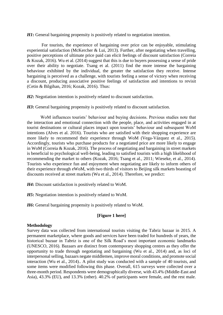*H1***:** General bargaining propensity is positively related to negotiation intention.

For tourists, the experience of bargaining over price can be enjoyable, stimulating experiential satisfaction (McKercher & Lui, 2013). Further, after negotiating when travelling, positive perceptions of ultimate price paid can elicit feelings of discount satisfaction (Correia & Kozak, 2016). Wu et al. (2014) suggest that this is due to buyers possessing a sense of pride over their ability to negotiate. Tsang et al. (2011) find the more intense the bargaining behaviour exhibited by the individual, the greater the satisfaction they receive. Intense bargaining is perceived as a challenge, with tourists feeling a sense of victory when receiving a discount, producing associative positive feelings of satisfaction and intentions to revisit (Cetin & Bilgihan, 2016; Kozak, 2016). Thus:

*H2***:** Negotiation intention is positively related to discount satisfaction.

*H3***:** General bargaining propensity is positively related to discount satisfaction.

WoM influences tourists' behaviour and buying decisions. Previous studies note that the interaction and emotional connection with the people, place, and activities engaged in at tourist destinations or cultural places impact upon tourists' behaviour and subsequent WoM intentions (Alves et al. 2016). Tourists who are satisfied with their shopping experience are more likely to recommend their experience through WoM (Vega-Vázquez et al., 2015). Accordingly, tourists who purchase products for a negotiated price are more likely to engage in WoM (Correia & Kozak, 2016). The process of negotiating and bargaining in street markets is beneficial to psychological well-being, leading to satisfied tourists with a high likelihood of recommending the market to others (Kozak, 2016; Tsang et al., 2011; Wieseke, et al., 2014). Tourists who experience fun and enjoyment when negotiating are likely to inform others of their experience through eWoM, with two thirds of visitors to Beijing silk markets boasting of discounts received at street markets (Wu et al., 2014). Therefore, we predict:

*H4***:** Discount satisfaction is positively related to WoM.

*H5***:** Negotiation intention is positively related to WoM.

*H6***:** General bargaining propensity is positively related to WoM.

# **[Figure 1 here]**

# **Methodology**

Survey data was collected from international tourists visiting the Tabriz bazaar in 2015. A permanent marketplace, where goods and services have been traded for hundreds of years, the historical bazaar in Tabriz is one of the Silk Road's most important economic landmarks (UNESCO, 2016). Bazaars are distinct from contemporary shopping centres as they offer the opportunity to trade through negotiating and bargaining (Wu et al., 2014) and, as loci of interpersonal selling, bazaars negate middlemen, improve moral conditions, and promote social interaction (Wu et al., 2014).. A pilot study was conducted with a sample of 40 tourists, and some items were modified following this phase. Overall, 615 surveys were collected over a three-month period. Respondents were demographically diverse, with 43.4% (Middle-East and Asia), 43.3% (EU), and 13.3% (other). 40.2% of participants were female, and the rest male.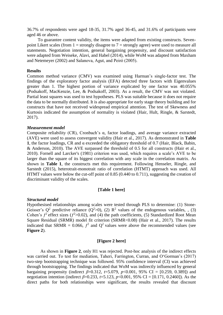36.7% of respondents were aged 18-35, 31.7% aged 36-45, and 31.6% of participants were aged 46 or above.

To guarantee content validity, the items were adapted from existing constructs. Sevenpoint Likert scales (from  $1 =$  strongly disagree to  $7 =$  strongly agree) were used to measure all statements. Negotiation intention, general bargaining propensity, and discount satisfaction were adapted from Weiseke, Alavi, and Habel (2014), while WoM was adapted from Maxham and Netemeyer (2002) and Salanova, Agut, and Peirό (2005).

# **Results**

Common method variance (CMV) was examined using Harman's single-factor test. The findings of the exploratory factor analysis (EFA) detected three factors with Eigenvalues greater than 1. The highest portion of variance explicated by one factor was 40.055% (Podsakoff, MacKenzie, Lee, & Podsakoff, 2003). As a result, the CMV was not violated. Partial least squares was used to test hypotheses. PLS was suitable because it does not require the data to be normally distributed. It is also appropriate for early stage theory building and for constructs that have not received widespread empirical attention. The test of Skewness and Kurtosis indicated the assumption of normality is violated (Hair, Hult, Ringle, & Sarstedt, 2017).

#### *Measurement model*

Composite reliability (CR), Cronbach's α, factor loadings, and average variance extracted (AVE) were used to assess convergent validity (Hair et al., 2017). As demonstrated in **Table 1**, the factor loadings, CR and α exceeded the obligatory threshold of 0.7 (Hair, Black, Babin, & Anderson, 2010). The AVE surpassed the threshold of 0.5 for all constructs (Hair et al., 2010). Fornell and Larcker's (1981) criterion was used, which requires a scale's AVE to be larger than the square of its biggest correlation with any scale in the correlation matrix. As shown in **Table 1**, the constructs met this requirement. Following Henseler, Ringle, and Sarstedt (2015), heterotrait-monotrait ratio of correlation (HTMT) approach was used. All HTMT values were below the cut-off point of 0.85 (0.440 to 0.711), suggesting the creation of discriminant validity of the scales.

# **[Table 1 here]**

# *Structural model*

Hypothesised relationships among scales were tested through PLS to determine: (1) Stone-Geisser's  $Q^2$  predictive reliance  $(Q^2>0)$ , (2)  $R^2$  values of the endogenous variables, , (3) Cohen's  $f^2$  effect sizes ( $f^2$ >0.02), and (4) the path coefficients, (5) Standardized Root Mean Square Residual (SRMR) model fit criterion (SRMR<0.08) (Hair et al., 2017). The results indicated that SRMR = 0.066,  $f^2$  and Q<sup>2</sup> values were above the recommended values (see **Figure 2**).

#### **[Figure 2 here]**

As shown in **Figure 2**, only H1 was rejected. Post-hoc analysis of the indirect effects was carried out. To test for mediation, Taheri, Farrington, Curran, and O'Gorman's (2017) two-step bootstrapping technique was followed. 95% confidence interval (CI) was achieved through bootstrapping. The findings indicated that WoM was indirectly influenced by general bargaining propensity (indirect  $\beta = 0.312$ ,  $t = 5.079$ ,  $p < 0.001$ , 95% CI = [0.259, 0.389]) and negotiation intention (indirect *β*=0.233, *t*=5.123, *p*<0.001, 95% CI = [0.171, 0.2460]). As the direct paths for both relationships were significant, the results revealed that discount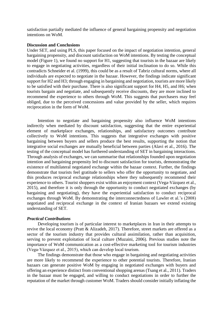satisfaction partially mediated the influence of general bargaining propensity and negotiation intentions on WoM.

#### **Discussion and Conclusions**

Under SET, and using PLS, this paper focused on the impact of negotiation intention, general bargaining propensity, and discount satisfaction on WoM intentions. By testing the conceptual model (Figure 1), we found no support for H1, suggesting that tourists in the bazaar are likely to engage in negotiating activities, regardless of their initial inclination to do so. While this contradicts Schneider et al. (1999), this could be as a result of Tabriz cultural norms, where all individuals are expected to negotiate in the bazaar. However, the findings indicate significant support for H2 and H3; through engaging in bargaining and negotiation, tourists are more likely to be satisfied with their purchase. There is also significant support for H4, H5, and H6; when tourists bargain and negotiate, and subsequently receive discounts, they are more inclined to recommend the experience to others through WoM. This suggests that purchasers may feel obliged, due to the perceived concessions and value provided by the seller, which requires reciprocation in the form of WoM.

Intention to negotiate and bargaining propensity also influence WoM intentions indirectly when mediated by discount satisfaction, suggesting that the entire experiential element of marketplace exchanges, relationships, and satisfactory outcomes contribute collectively to WoM intentions. This suggests that integrative exchanges with positive bargaining between buyers and sellers produce the best results, supporting the notion that integrative social exchanges are mutually beneficial between parties (Alavi et al., 2016). The testing of the conceptual model has furthered understanding of SET in bargaining interactions. Through analysis of exchanges, we can summarise that relationships founded upon negotiation intention and bargaining propensity led to discount satisfaction for tourists, demonstrating the existence of multilateral negotiated exchange within the bazaar context. Further, the findings demonstrate that tourists feel gratitude to sellers who offer the opportunity to negotiate, and this produces reciprocal exchange relationships where they subsequently recommend their experience to others. Tourist shoppers exist within an enjoyment context (Vega-Vázquez et al., 2015), and therefore it is only through the opportunity to conduct negotiated exchanges (by bargaining and negotiating), they have the experiential satisfaction to conduct reciprocal exchanges through WoM. By demonstrating the interconnectedness of Lawler et al.'s (2008) negotiated and reciprocal exchange in the context of Iranian bazaars we extend existing understanding of SET.

# *Practical Contributions*

Developing tourism is of particular interest to marketplaces in Iran in their attempts to revive the local economy (Pratt & Alizadeh, 2017). Therefore, street markets are offered as a sector of the tourism industry that provides cultural assimilation, rather than acquisition, serving to prevent exploitation of local culture (Muzaini, 2006). Previous studies note the importance of WoM communication as a cost-effective marketing tool for tourism industries (Vega-Vázquez et al., 2015), which can develop local tourism.

The findings demonstrate that those who engage in bargaining and negotiating activities are more likely to recommend the experience to other potential tourists. Therefore, Iranian bazaars can generate positive WoM by engaging in negotiated exchanges with buyers and offering an experience distinct from conventional shopping arenas (Tsang et al., 2011). Traders in the bazaar must be engaged, and willing to conduct negotiations in order to further the reputation of the market through customer WoM. Traders should consider initially inflating the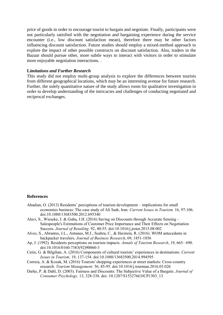price of goods in order to encourage tourist to bargain and negotiate. Finally, participants were not particularly satisfied with the negotiation and bargaining experience during the service encounter (i.e., low discount satisfaction mean), therefore there may be other factors influencing discount satisfaction. Future studies should employ a mixed-method approach to explore the impact of other possible constructs on discount satisfaction. Also, traders in the Bazaar should pursue other, more subtle ways to interact with visitors in order to stimulate more enjoyable negotiation interactions. .

## **L***imitations and Further Research*

This study did not employ multi-group analysis to explore the differences between tourists from different geographical locations, which may be an interesting avenue for future research. Further, the solely quantitative nature of the study allows room for qualitative investigation in order to develop understanding of the intricacies and challenges of conducting negotiated and reciprocal exchanges.

# **References**

- Ahadian, O. (2013) Residents' perceptions of tourism development implications for small economies business: The case study of Ali Sadr, Iran. *Current Issues in Tourism.* 16, 97-106. doi:10.1080/13683500.2012.695340
- Alavi, S., Wieseke, J. & Guba, J.H. (2016) Saving on Discounts through Accurate Sensing Salespeople's Estimations of Customer Price Importance and Their Effects on Negotiation Success. *Journal of Retailing.* 92, 40-55. doi:10.1016/j.jretai.2015.08.002
- Alves, S., Abrantes, J.L., Antunes, M.J., Seabra, C., & Herstein, R. (2016). WOM antecedents in backpacker travelers. *Journal of Business Research*, 69, 1851-1856
- Ap, J. (1992). Residents perceptions on tourism impacts. *Annals of Tourism Research*, 19, 665– 690. doi:10.1016/0160-7383(92)90060-3
- Cetin, G. & Bilgihan, A. (2016) Components of cultural tourists' experiences in destinations. *Current Issues in Tourism.* 19, 137-154. doi:10.1080/13683500.2014.994595
- Correia, A. & Kozak, M. (2016) Tourists' shopping experiences at street markets: Cross-country research. *Tourism Management.* 56, 85-95. doi:10.1016/j.tourman.2016.03.026
- Darke, P. & Dahl, D. (2003). Fairness and Discounts: The Subjective Value of a Bargain. *Journal of Consumer Psychology*. 13, 328-338. doi: 10.1207/S15327663JCP1303\_13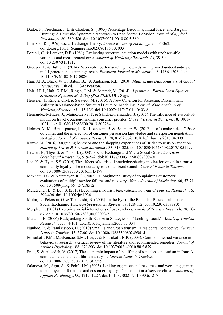- Darke, P., Freedman, J. L. & Chaiken, S. (1995) Percentage Discounts, Initial Price, and Bargain Hunting: A Heuristic-Systematic Approach to Price Search Behavior. *Journal of Applied Psychology*. 80, 580-586. doi: 10.1037/0021-9010.80.5.580
- Emerson, R. (1976) Social Exchange Theory. *Annual Review of Sociology.* 2, 335-362. doi:doi.org/10.1146/annurev.so.02.080176.002003
- Fornell, C. & Larcker, D.F. (1981). Evaluating structural equation models with unobservable variables and measurement error. *Journal of Marketing Research. 18*, 39-50. doi:10.2307/3151312
- Groeger, L. & Buttle, F. (2014). Word-of-mouth marketing: Towards an improved understanding of multi-generational campaign reach. *European Journal of Marketing*. 48, 1186-1208. doi: 10.1108/EJM-02-2012-0086
- Hair, J.F.J., Black, W.C., Babin, B.J. & Anderson, R.E. (2010). *Multivariate Data Analysis: A Global Perspective* (7th ed.). USA: Pearson.
- Hair, J.F.J., Hult, G.T.M., Ringle, C.M. & Sarstedt, M. (2014). *A primer on Partial Least Squares Structural Equation Modeling (PLS-SEM)*. UK: Sage.
- Henseler, J., Ringle, C.M. & Sarstedt, M. (2015). A New Criterion for Assessing Discriminant Validity in Variance-based Structural Equation Modeling. *Journal of the Academy of Marketing Science. 43*, 115-135. doi:10.1007/s11747-014-0403-8
- Hernández-Méndez, J., Muñoz-Leiva, F. & Sánchez-Fernández, J. (2015) The influence of e-word-ofmouth on travel decision-making: consumer profiles. *Current Issues in Tourism*. 18, 1001- 1021. doi:10.1080/13683500.2013.802764
- Holmes, Y. M., Beitelspacher, L. K., Hochstein, B. & Bolander, W. (2017) "Let's make a deal:" Price outcomes and the interaction of customer persuasion knowledge and salesperson negotiation strategies. *Journal of Business Research*. 78, 81-92 doi: 10.1016/j.jbusres.2017.04.009
- Kozak, M. (2016) Bargaining behavior and the shopping experiences of British tourists on vacation. *Journal of Travel & Tourism Marketing.* 33, 313-325. doi:10.1080/10548408.2015.1051199
- Lawler, E., Thye, S. & Yoon, J. (2008). Social Exchange and Micro Social Order. *American Sociological Review*. 73, 519-542. doi:10.1177/000312240807300401
- Lee, K. & Hyun, S.S. (2016) The effects of tourists' knowledge-sharing motivation on online tourist community loyalty: The moderating role of ambient stimuli. *Current Issues in Tourism.*  doi:10.1080/13683500.2016.1145197
- Maxham, J.G. & Netemeyer, R.G. (2002). A longitudinal study of complaining customers' evaluations of multiple service failures and recovery efforts. *Journal of Marketing,* 66, 57-71. doi:10.1509/jmkg.66.4.57.18512
- McKercher, B. & Lui, S. (2013) Becoming a Tourist. *International Journal of Tourism Research*. 16, 399-406. doi: 10.1002/jtr.1934
- Molm, L., Peterson, G. & Takahashi, N. (2003). In the Eye of the Beholder: Procedural Justice in Social Exchange. *American Sociological Review*. 68, 128-152. doi:10.2307/3088905
- Murphy, L. (2001) Exploring social interactions of backpackers. *Annals of Tourism Research*. 28, 50- 67. doi: 10.1016/S0160-7383(00)00003-7
- Muzaini, H. (2006) Backpacking South-East Asia Strategies of ''Looking Local.'' *Annals of Tourism Research*. 33, 144-161. doi:10.1016/j.annals.2005.07.004
- Nunkoo, R. & Ramikissoon, H. (2010) Small island urban tourism: A residents' perspective. *Current Issues in Tourism.* 13, 37-60. doi:10.1080/13683500802499414
- Podsakoff, P.M., MacKenzie, S.M., Lee, J. & Podsakoff, N.P. (2003). Common method variance in behavioral research: a critical review of the literature and recommended remedies. *Journal of Applied Psychology.* 88, 879-903. doi:10.1037/0021-9010.88.5.879
- Pratt, S. & Alizadeh, V. (2017) The economic impact of the lifting of sanctions on tourism in Iran: A computable general equilibrium analysis. *Current Issues in Tourism.* doi:10.1080/13683500.2017.1307329
- Salanova, M., Agut, S., & Peirό, J.M. (2005). Linking organizational resources and work engagement to employee performance and customer loyalty: The mediation of service climate. *Journal of Applied Psychology*, 90, 1217–1227. doi:10.1037/0021-9010.90.6.1217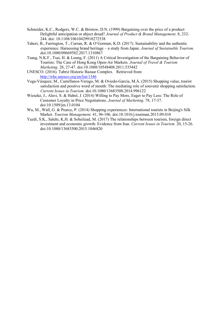- Schneider, K.C., Rodgers, W.C. & Bristow, D.N. (1999) Bargaining over the price of a product: Delightful anticipation or abject dread? *Journal of Product & Brand Management*. 8, 232- 244. doi: 10.1108/10610429910272538
- Taheri, B., Farrington, T., Curran, R. & O'Gorman, K.D. (2017). Sustainability and the authentic experience. Harnessing brand heritage – a study from Japan. *Journal of Sustainable Tourism.*  doi:10.1080/09669582.2017.1310867
- Tsang, N.K.F., Tsai, H. & Leung, F. (2011) A Critical Investigation of the Bargaining Behavior of Tourists: The Case of Hong Kong Open-Air Markets. *Journal of Travel & Tourism Marketing*. 28, 27-47. doi:10.1080/10548408.2011.535442
- UNESCO. (2016). Tabriz Historic Bazaar Complex. Retrieved from: <http://whc.unesco.org/en/list/1346>
- Vega-Vázquez, M., Castellanos-Verugo, M. & Oviedo-García, M.Á. (2015) Shopping value, tourist satisfaction and positive word of mouth: The mediating role of souvenir shopping satisfaction. *Current Issues in Tourism.* doi:10.1080/13683500.2014.996122
- Wieseke, J., Alavi, S. & Habel, J. (2014) Willing to Pay More, Eager to Pay Less: The Role of Customer Loyalty in Price Negotiations. *Journal of Marketing*. 78, 17-37. doi:10.1509/jm.13.0104
- Wu, M., Wall, G. & Pearce, P. (2014) Shopping experiences: International tourists in Beijing's Silk Market. *Tourism Management.* 41, 96-106. doi:10.1016/j.tourman.2013.09.010
- Yazdi, S.K., Salehi, K.H. & Soheilzad, M. (2017) The relationships between tourism, foreign direct investment and economic growth: Evidence from Iran. *Current Issues in Tourism.* 20, 15-26. doi:10.1080/13683500.2015.1046820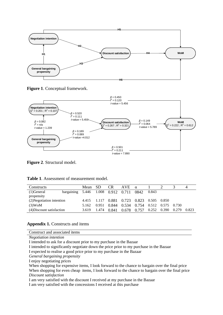

**Figure 1**. Conceptual framework.



**Figure 2**. Structural model.

| Constructs                |                                    | Mean  | -SD   | <b>CR</b> | AVE.        | $\alpha$          |       |       |       | 4     |
|---------------------------|------------------------------------|-------|-------|-----------|-------------|-------------------|-------|-------|-------|-------|
| $(1)$ General             | bargaining 5.446 1.008 0.912 0.711 |       |       |           |             | 0842              | 0.843 |       |       |       |
| propensity                |                                    |       |       |           |             |                   |       |       |       |       |
| (2) Negotiation intention |                                    | 4.415 | 1.117 |           | 0.881 0.723 | 0.823 0.505 0.850 |       |       |       |       |
| $(3)$ WoM                 |                                    | 5.162 | 0.951 | 0.844     | 0.534       | 0.754 0.512 0.575 |       |       | 0.730 |       |
| (4) Discount satisfaction |                                    | 3.619 | 1.474 | 0.841     | 0.678       | 0.757             | 0.252 | 0.390 | 0.279 | 0.823 |

# **Appendix 1.** Constructs and items

| Construct and associated items |  |  |
|--------------------------------|--|--|
|                                |  |  |

*Negotiation intention*

I intended to ask for a discount prior to my purchase in the Bazaar

I intended to significantly negotiate down the price prior to my purchase in the Bazaar

I expected to realise a good price prior to my purchase in the Bazaar

*General bargaining propensity* 

I enjoy negotiating prices

When shopping for expensive items, I look forward to the chance to bargain over the final price When shopping for even cheap items, I look forward to the chance to bargain over the final price *Discount satisfaction* 

I am very satisfied with the discount I received at my purchase in the Bazaar

I am very satisfied with the concessions I received at this purchase